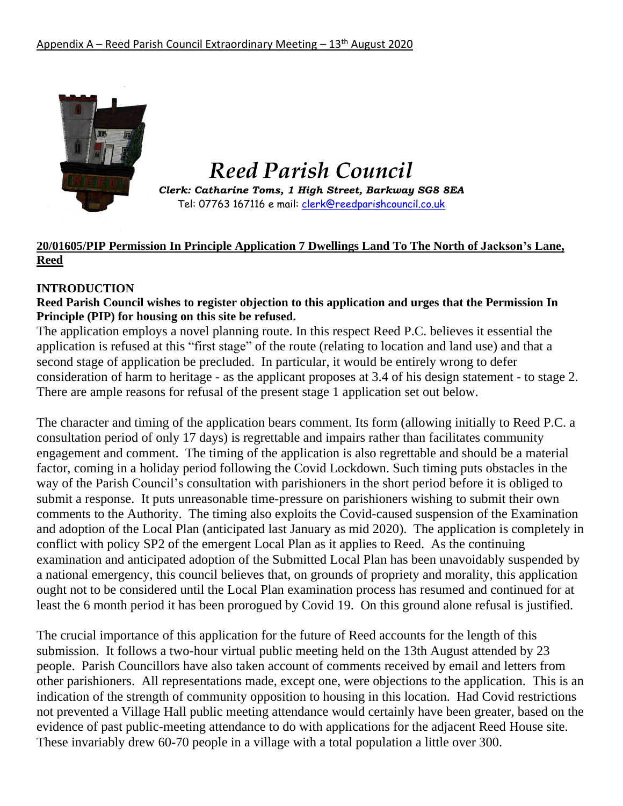

# *Reed Parish Council*

*Clerk: Catharine Toms, 1 High Street, Barkway SG8 8EA* Tel: 07763 167116 e mail: [clerk@reedparishcouncil.co.uk](mailto:clerk@reedparishcouncil.co.uk)

## **20/01605/PIP Permission In Principle Application 7 Dwellings Land To The North of Jackson's Lane, Reed**

## **INTRODUCTION**

#### **Reed Parish Council wishes to register objection to this application and urges that the Permission In Principle (PIP) for housing on this site be refused.**

The application employs a novel planning route. In this respect Reed P.C. believes it essential the application is refused at this "first stage" of the route (relating to location and land use) and that a second stage of application be precluded. In particular, it would be entirely wrong to defer consideration of harm to heritage - as the applicant proposes at 3.4 of his design statement - to stage 2. There are ample reasons for refusal of the present stage 1 application set out below.

The character and timing of the application bears comment. Its form (allowing initially to Reed P.C. a consultation period of only 17 days) is regrettable and impairs rather than facilitates community engagement and comment. The timing of the application is also regrettable and should be a material factor, coming in a holiday period following the Covid Lockdown. Such timing puts obstacles in the way of the Parish Council's consultation with parishioners in the short period before it is obliged to submit a response. It puts unreasonable time-pressure on parishioners wishing to submit their own comments to the Authority. The timing also exploits the Covid-caused suspension of the Examination and adoption of the Local Plan (anticipated last January as mid 2020). The application is completely in conflict with policy SP2 of the emergent Local Plan as it applies to Reed. As the continuing examination and anticipated adoption of the Submitted Local Plan has been unavoidably suspended by a national emergency, this council believes that, on grounds of propriety and morality, this application ought not to be considered until the Local Plan examination process has resumed and continued for at least the 6 month period it has been prorogued by Covid 19. On this ground alone refusal is justified.

The crucial importance of this application for the future of Reed accounts for the length of this submission. It follows a two-hour virtual public meeting held on the 13th August attended by 23 people. Parish Councillors have also taken account of comments received by email and letters from other parishioners. All representations made, except one, were objections to the application. This is an indication of the strength of community opposition to housing in this location. Had Covid restrictions not prevented a Village Hall public meeting attendance would certainly have been greater, based on the evidence of past public-meeting attendance to do with applications for the adjacent Reed House site. These invariably drew 60-70 people in a village with a total population a little over 300.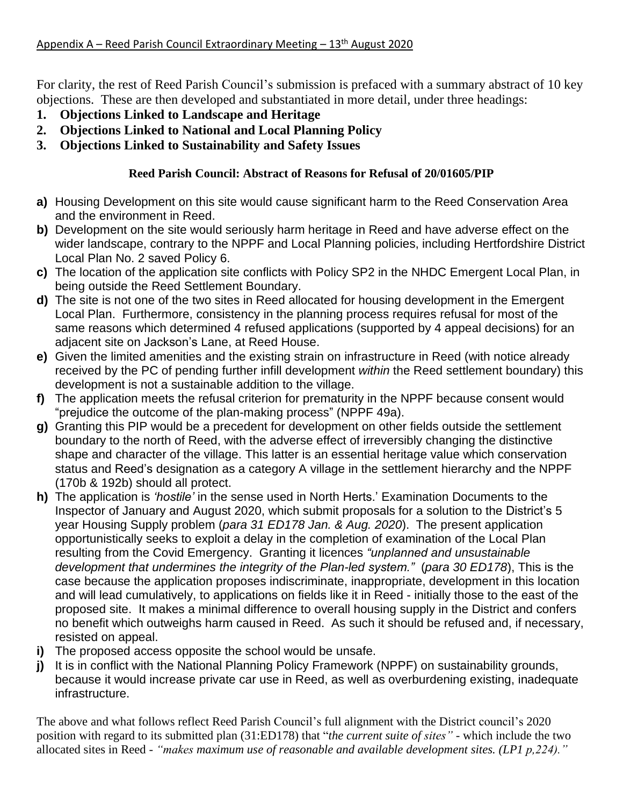For clarity, the rest of Reed Parish Council's submission is prefaced with a summary abstract of 10 key objections. These are then developed and substantiated in more detail, under three headings:

- **1. Objections Linked to Landscape and Heritage**
- **2. Objections Linked to National and Local Planning Policy**
- **3. Objections Linked to Sustainability and Safety Issues**

## **Reed Parish Council: Abstract of Reasons for Refusal of 20/01605/PIP**

- **a)** Housing Development on this site would cause significant harm to the Reed Conservation Area and the environment in Reed.
- **b)** Development on the site would seriously harm heritage in Reed and have adverse effect on the wider landscape, contrary to the NPPF and Local Planning policies, including Hertfordshire District Local Plan No. 2 saved Policy 6.
- **c)** The location of the application site conflicts with Policy SP2 in the NHDC Emergent Local Plan, in being outside the Reed Settlement Boundary.
- **d)** The site is not one of the two sites in Reed allocated for housing development in the Emergent Local Plan. Furthermore, consistency in the planning process requires refusal for most of the same reasons which determined 4 refused applications (supported by 4 appeal decisions) for an adjacent site on Jackson's Lane, at Reed House.
- **e)** Given the limited amenities and the existing strain on infrastructure in Reed (with notice already received by the PC of pending further infill development *within* the Reed settlement boundary) this development is not a sustainable addition to the village.
- **f)** The application meets the refusal criterion for prematurity in the NPPF because consent would "prejudice the outcome of the plan-making process" (NPPF 49a).
- **g)** Granting this PIP would be a precedent for development on other fields outside the settlement boundary to the north of Reed, with the adverse effect of irreversibly changing the distinctive shape and character of the village. This latter is an essential heritage value which conservation status and Reed's designation as a category A village in the settlement hierarchy and the NPPF (170b & 192b) should all protect.
- **h)** The application is *'hostile'* in the sense used in North Herts.' Examination Documents to the Inspector of January and August 2020, which submit proposals for a solution to the District's 5 year Housing Supply problem (*para 31 ED178 Jan. & Aug. 2020*). The present application opportunistically seeks to exploit a delay in the completion of examination of the Local Plan resulting from the Covid Emergency. Granting it licences *"unplanned and unsustainable development that undermines the integrity of the Plan-led system."* (*para 30 ED178*), This is the case because the application proposes indiscriminate, inappropriate, development in this location and will lead cumulatively, to applications on fields like it in Reed - initially those to the east of the proposed site. It makes a minimal difference to overall housing supply in the District and confers no benefit which outweighs harm caused in Reed. As such it should be refused and, if necessary, resisted on appeal.
- **i)** The proposed access opposite the school would be unsafe.
- **j)** It is in conflict with the National Planning Policy Framework (NPPF) on sustainability grounds, because it would increase private car use in Reed, as well as overburdening existing, inadequate infrastructure.

The above and what follows reflect Reed Parish Council's full alignment with the District council's 2020 position with regard to its submitted plan (31:ED178) that "*the current suite of sites" -* which include the two allocated sites in Reed *- "makes maximum use of reasonable and available development sites. (LP1 p,224)."*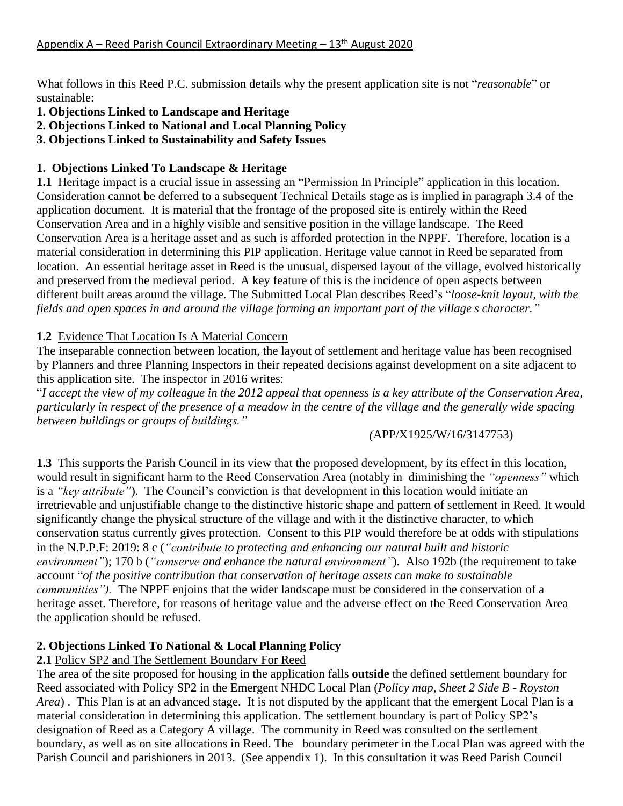What follows in this Reed P.C. submission details why the present application site is not "*reasonable*" or sustainable:

- **1. Objections Linked to Landscape and Heritage**
- **2. Objections Linked to National and Local Planning Policy**
- **3. Objections Linked to Sustainability and Safety Issues**

# **1. Objections Linked To Landscape & Heritage**

**1.1** Heritage impact is a crucial issue in assessing an "Permission In Principle" application in this location. Consideration cannot be deferred to a subsequent Technical Details stage as is implied in paragraph 3.4 of the application document. It is material that the frontage of the proposed site is entirely within the Reed Conservation Area and in a highly visible and sensitive position in the village landscape. The Reed Conservation Area is a heritage asset and as such is afforded protection in the NPPF. Therefore, location is a material consideration in determining this PIP application. Heritage value cannot in Reed be separated from location. An essential heritage asset in Reed is the unusual, dispersed layout of the village, evolved historically and preserved from the medieval period. A key feature of this is the incidence of open aspects between different built areas around the village. The Submitted Local Plan describes Reed's "*loose-knit layout, with the* fields and open spaces in and around the village forming an important part of the village s character."

## **1.2** Evidence That Location Is A Material Concern

The inseparable connection between location, the layout of settlement and heritage value has been recognised by Planners and three Planning Inspectors in their repeated decisions against development on a site adjacent to this application site. The inspector in 2016 writes:

"I accept the view of my colleague in the 2012 appeal that openness is a key attribute of the Conservation Area, particularly in respect of the presence of a meadow in the centre of the village and the generally wide spacing *between buildings or groups of buildings."*

## *(*APP/X1925/W/16/3147753)

**1.3** This supports the Parish Council in its view that the proposed development, by its effect in this location, would result in significant harm to the Reed Conservation Area (notably in diminishing the *"openness"* which is a *"key attribute"*). The Council's conviction is that development in this location would initiate an irretrievable and unjustifiable change to the distinctive historic shape and pattern of settlement in Reed. It would significantly change the physical structure of the village and with it the distinctive character, to which conservation status currently gives protection. Consent to this PIP would therefore be at odds with stipulations in the N.P.P.F: 2019: 8 c (*"contribute to protecting and enhancing our natural built and historic environment"*); 170 b (*"conserve and enhance the natural environment"*). Also 192b (the requirement to take account "*of the positive contribution that conservation of heritage assets can make to sustainable communities").* The NPPF enjoins that the wider landscape must be considered in the conservation of a heritage asset. Therefore, for reasons of heritage value and the adverse effect on the Reed Conservation Area the application should be refused.

# **2. Objections Linked To National & Local Planning Policy**

# **2.1** Policy SP2 and The Settlement Boundary For Reed

The area of the site proposed for housing in the application falls **outside** the defined settlement boundary for Reed associated with Policy SP2 in the Emergent NHDC Local Plan (*Policy map, Sheet 2 Side B - Royston Area*) . This Plan is at an advanced stage. It is not disputed by the applicant that the emergent Local Plan is a material consideration in determining this application. The settlement boundary is part of Policy SP2's designation of Reed as a Category A village. The community in Reed was consulted on the settlement boundary, as well as on site allocations in Reed. The boundary perimeter in the Local Plan was agreed with the Parish Council and parishioners in 2013. (See appendix 1). In this consultation it was Reed Parish Council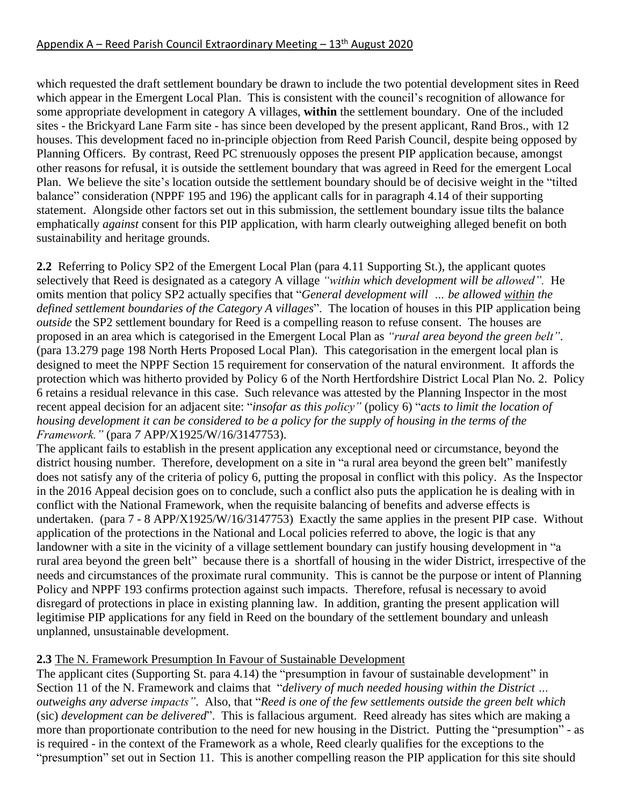which requested the draft settlement boundary be drawn to include the two potential development sites in Reed which appear in the Emergent Local Plan. This is consistent with the council's recognition of allowance for some appropriate development in category A villages, **within** the settlement boundary. One of the included sites - the Brickyard Lane Farm site - has since been developed by the present applicant, Rand Bros., with 12 houses. This development faced no in-principle objection from Reed Parish Council, despite being opposed by Planning Officers. By contrast, Reed PC strenuously opposes the present PIP application because, amongst other reasons for refusal, it is outside the settlement boundary that was agreed in Reed for the emergent Local Plan. We believe the site's location outside the settlement boundary should be of decisive weight in the "tilted balance" consideration (NPPF 195 and 196) the applicant calls for in paragraph 4.14 of their supporting statement. Alongside other factors set out in this submission, the settlement boundary issue tilts the balance emphatically *against* consent for this PIP application, with harm clearly outweighing alleged benefit on both sustainability and heritage grounds.

**2.2** Referring to Policy SP2 of the Emergent Local Plan (para 4.11 Supporting St.), the applicant quotes selectively that Reed is designated as a category A village *"within which development will be allowed".* He omits mention that policy SP2 actually specifies that "*General development will … be allowed within the defined settlement boundaries of the Category A villages*". The location of houses in this PIP application being *outside* the SP2 settlement boundary for Reed is a compelling reason to refuse consent. The houses are proposed in an area which is categorised in the Emergent Local Plan as *"rural area beyond the green belt"*. (para 13.279 page 198 North Herts Proposed Local Plan). This categorisation in the emergent local plan is designed to meet the NPPF Section 15 requirement for conservation of the natural environment. It affords the protection which was hitherto provided by Policy 6 of the North Hertfordshire District Local Plan No. 2. Policy 6 retains a residual relevance in this case. Such relevance was attested by the Planning Inspector in the most recent appeal decision for an adjacent site: "*insofar as this policy"* (policy 6) "*acts to limit the location of* housing development it can be considered to be a policy for the supply of housing in the terms of the *Framework."* (para *7* APP/X1925/W/16/3147753).

The applicant fails to establish in the present application any exceptional need or circumstance, beyond the district housing number. Therefore, development on a site in "a rural area beyond the green belt" manifestly does not satisfy any of the criteria of policy 6, putting the proposal in conflict with this policy. As the Inspector in the 2016 Appeal decision goes on to conclude, such a conflict also puts the application he is dealing with in conflict with the National Framework, when the requisite balancing of benefits and adverse effects is undertaken. (para 7 - 8 APP/X1925/W/16/3147753) Exactly the same applies in the present PIP case. Without application of the protections in the National and Local policies referred to above, the logic is that any landowner with a site in the vicinity of a village settlement boundary can justify housing development in "a rural area beyond the green belt" because there is a shortfall of housing in the wider District, irrespective of the needs and circumstances of the proximate rural community. This is cannot be the purpose or intent of Planning Policy and NPPF 193 confirms protection against such impacts. Therefore, refusal is necessary to avoid disregard of protections in place in existing planning law. In addition, granting the present application will legitimise PIP applications for any field in Reed on the boundary of the settlement boundary and unleash unplanned, unsustainable development.

## **2.3** The N. Framework Presumption In Favour of Sustainable Development

The applicant cites (Supporting St. para 4.14) the "presumption in favour of sustainable development" in Section 11 of the N. Framework and claims that "*delivery of much needed housing within the District … outweighs any adverse impacts"*. Also, that "*Reed is one of the few settlements outside the green belt which* (sic) *development can be delivered*". This is fallacious argument. Reed already has sites which are making a more than proportionate contribution to the need for new housing in the District. Putting the "presumption" - as is required - in the context of the Framework as a whole, Reed clearly qualifies for the exceptions to the "presumption" set out in Section 11. This is another compelling reason the PIP application for this site should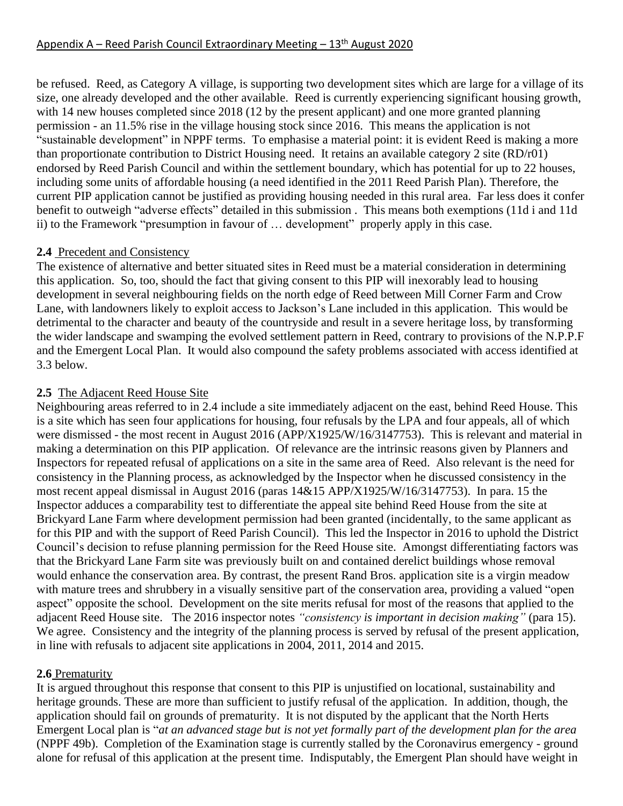be refused. Reed, as Category A village, is supporting two development sites which are large for a village of its size, one already developed and the other available. Reed is currently experiencing significant housing growth, with 14 new houses completed since 2018 (12 by the present applicant) and one more granted planning permission - an 11.5% rise in the village housing stock since 2016. This means the application is not "sustainable development" in NPPF terms. To emphasise a material point: it is evident Reed is making a more than proportionate contribution to District Housing need. It retains an available category 2 site (RD/r01) endorsed by Reed Parish Council and within the settlement boundary, which has potential for up to 22 houses, including some units of affordable housing (a need identified in the 2011 Reed Parish Plan). Therefore, the current PIP application cannot be justified as providing housing needed in this rural area. Far less does it confer benefit to outweigh "adverse effects" detailed in this submission . This means both exemptions (11d i and 11d ii) to the Framework "presumption in favour of … development" properly apply in this case.

### **2.4** Precedent and Consistency

The existence of alternative and better situated sites in Reed must be a material consideration in determining this application. So, too, should the fact that giving consent to this PIP will inexorably lead to housing development in several neighbouring fields on the north edge of Reed between Mill Corner Farm and Crow Lane, with landowners likely to exploit access to Jackson's Lane included in this application. This would be detrimental to the character and beauty of the countryside and result in a severe heritage loss, by transforming the wider landscape and swamping the evolved settlement pattern in Reed, contrary to provisions of the N.P.P.F and the Emergent Local Plan. It would also compound the safety problems associated with access identified at 3.3 below.

## **2.5** The Adjacent Reed House Site

Neighbouring areas referred to in 2.4 include a site immediately adjacent on the east, behind Reed House. This is a site which has seen four applications for housing, four refusals by the LPA and four appeals, all of which were dismissed - the most recent in August 2016 (APP/X1925/W/16/3147753). This is relevant and material in making a determination on this PIP application. Of relevance are the intrinsic reasons given by Planners and Inspectors for repeated refusal of applications on a site in the same area of Reed. Also relevant is the need for consistency in the Planning process, as acknowledged by the Inspector when he discussed consistency in the most recent appeal dismissal in August 2016 (paras 14&15 APP/X1925/W/16/3147753). In para. 15 the Inspector adduces a comparability test to differentiate the appeal site behind Reed House from the site at Brickyard Lane Farm where development permission had been granted (incidentally, to the same applicant as for this PIP and with the support of Reed Parish Council). This led the Inspector in 2016 to uphold the District Council's decision to refuse planning permission for the Reed House site. Amongst differentiating factors was that the Brickyard Lane Farm site was previously built on and contained derelict buildings whose removal would enhance the conservation area. By contrast, the present Rand Bros. application site is a virgin meadow with mature trees and shrubbery in a visually sensitive part of the conservation area, providing a valued "open aspect" opposite the school. Development on the site merits refusal for most of the reasons that applied to the adjacent Reed House site. The 2016 inspector notes *"consistency is important in decision making"* (para 15). We agree. Consistency and the integrity of the planning process is served by refusal of the present application, in line with refusals to adjacent site applications in 2004, 2011, 2014 and 2015.

#### **2.6** Prematurity

It is argued throughout this response that consent to this PIP is unjustified on locational, sustainability and heritage grounds. These are more than sufficient to justify refusal of the application. In addition, though, the application should fail on grounds of prematurity. It is not disputed by the applicant that the North Herts Emergent Local plan is "at an advanced stage but is not yet formally part of the development plan for the area (NPPF 49b). Completion of the Examination stage is currently stalled by the Coronavirus emergency - ground alone for refusal of this application at the present time. Indisputably, the Emergent Plan should have weight in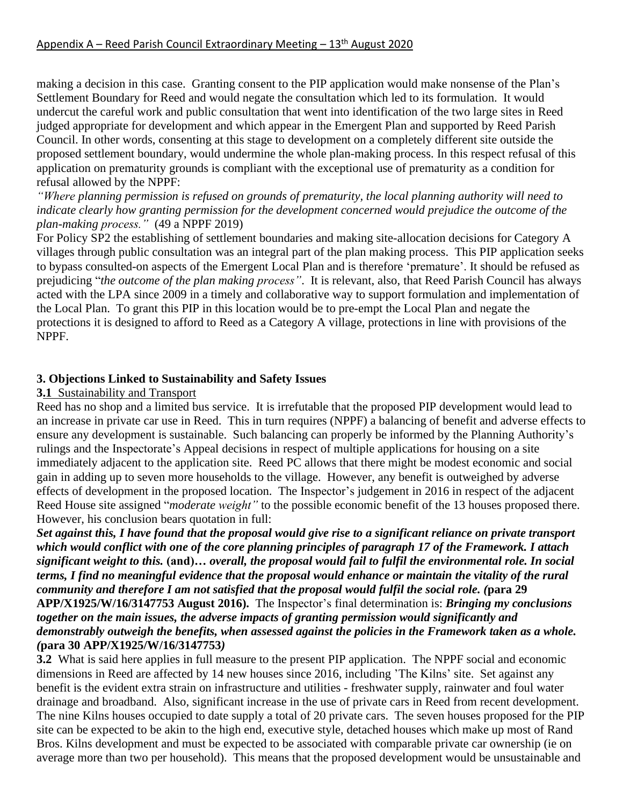making a decision in this case. Granting consent to the PIP application would make nonsense of the Plan's Settlement Boundary for Reed and would negate the consultation which led to its formulation. It would undercut the careful work and public consultation that went into identification of the two large sites in Reed judged appropriate for development and which appear in the Emergent Plan and supported by Reed Parish Council. In other words, consenting at this stage to development on a completely different site outside the proposed settlement boundary, would undermine the whole plan-making process. In this respect refusal of this application on prematurity grounds is compliant with the exceptional use of prematurity as a condition for refusal allowed by the NPPF:

*"Where planning permission is refused on grounds of prematurity, the local planning authority will need to indicate clearly how granting permission for the development concerned would prejudice the outcome of the plan-making process."* (49 a NPPF 2019)

For Policy SP2 the establishing of settlement boundaries and making site-allocation decisions for Category A villages through public consultation was an integral part of the plan making process. This PIP application seeks to bypass consulted-on aspects of the Emergent Local Plan and is therefore 'premature'. It should be refused as prejudicing "*the outcome of the plan making process"*. It is relevant, also, that Reed Parish Council has always acted with the LPA since 2009 in a timely and collaborative way to support formulation and implementation of the Local Plan. To grant this PIP in this location would be to pre-empt the Local Plan and negate the protections it is designed to afford to Reed as a Category A village, protections in line with provisions of the NPPF.

### **3. Objections Linked to Sustainability and Safety Issues**

#### **3.1** Sustainability and Transport

Reed has no shop and a limited bus service. It is irrefutable that the proposed PIP development would lead to an increase in private car use in Reed. This in turn requires (NPPF) a balancing of benefit and adverse effects to ensure any development is sustainable. Such balancing can properly be informed by the Planning Authority's rulings and the Inspectorate's Appeal decisions in respect of multiple applications for housing on a site immediately adjacent to the application site. Reed PC allows that there might be modest economic and social gain in adding up to seven more households to the village. However, any benefit is outweighed by adverse effects of development in the proposed location. The Inspector's judgement in 2016 in respect of the adjacent Reed House site assigned "*moderate weight*" to the possible economic benefit of the 13 houses proposed there. However, his conclusion bears quotation in full:

Set against this, I have found that the proposal would give rise to a significant reliance on private transport which would conflict with one of the core planning principles of paragraph 17 of the Framework. I attach significant weight to this. (and)... overall, the proposal would fail to fulfil the environmental role. In social terms, I find no meaningful evidence that the proposal would enhance or maintain the vitality of the rural community and therefore I am not satisfied that the proposal would fulfil the social role. (para 29 **APP/X1925/W/16/3147753 August 2016).** The Inspector's final determination is: *Bringing my conclusions together on the main issues, the adverse impacts of granting permission would significantly and demonstrably outweigh the benefits, when assessed against the policies in the Framework taken as a whole. (***para 30 APP/X1925/W/16/3147753***)*

**3.2** What is said here applies in full measure to the present PIP application. The NPPF social and economic dimensions in Reed are affected by 14 new houses since 2016, including 'The Kilns' site. Set against any benefit is the evident extra strain on infrastructure and utilities - freshwater supply, rainwater and foul water drainage and broadband. Also, significant increase in the use of private cars in Reed from recent development. The nine Kilns houses occupied to date supply a total of 20 private cars. The seven houses proposed for the PIP site can be expected to be akin to the high end, executive style, detached houses which make up most of Rand Bros. Kilns development and must be expected to be associated with comparable private car ownership (ie on average more than two per household). This means that the proposed development would be unsustainable and